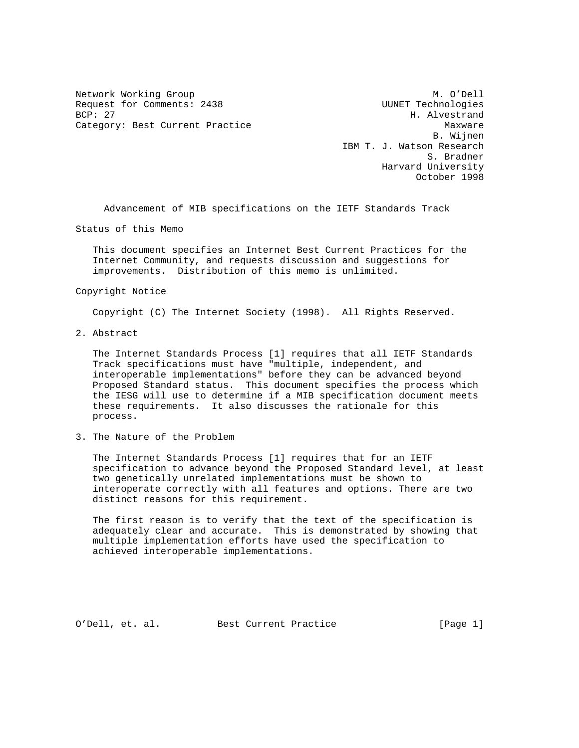Request for Comments: 2438 UUNET Technologies<br>BCP: 27 H. Alvestrand Category: Best Current Practice and Category: Best Current Practice

Network Working Group Manuscript Communication of M. O'Dell H. Alvestrand B. Wijnen IBM T. J. Watson Research S. Bradner Harvard University October 1998

Advancement of MIB specifications on the IETF Standards Track

Status of this Memo

 This document specifies an Internet Best Current Practices for the Internet Community, and requests discussion and suggestions for improvements. Distribution of this memo is unlimited.

## Copyright Notice

Copyright (C) The Internet Society (1998). All Rights Reserved.

2. Abstract

 The Internet Standards Process [1] requires that all IETF Standards Track specifications must have "multiple, independent, and interoperable implementations" before they can be advanced beyond Proposed Standard status. This document specifies the process which the IESG will use to determine if a MIB specification document meets these requirements. It also discusses the rationale for this process.

3. The Nature of the Problem

 The Internet Standards Process [1] requires that for an IETF specification to advance beyond the Proposed Standard level, at least two genetically unrelated implementations must be shown to interoperate correctly with all features and options. There are two distinct reasons for this requirement.

 The first reason is to verify that the text of the specification is adequately clear and accurate. This is demonstrated by showing that multiple implementation efforts have used the specification to achieved interoperable implementations.

O'Dell, et. al. Best Current Practice [Page 1]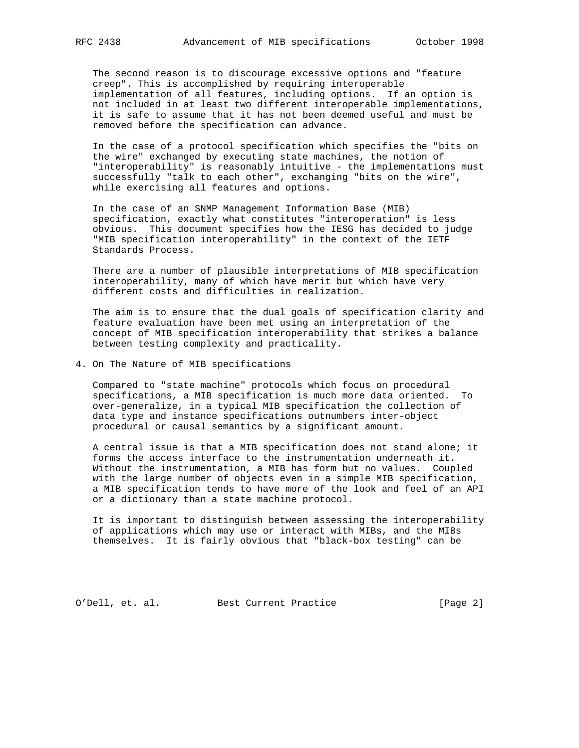The second reason is to discourage excessive options and "feature creep". This is accomplished by requiring interoperable implementation of all features, including options. If an option is not included in at least two different interoperable implementations, it is safe to assume that it has not been deemed useful and must be removed before the specification can advance.

 In the case of a protocol specification which specifies the "bits on the wire" exchanged by executing state machines, the notion of "interoperability" is reasonably intuitive - the implementations must successfully "talk to each other", exchanging "bits on the wire", while exercising all features and options.

 In the case of an SNMP Management Information Base (MIB) specification, exactly what constitutes "interoperation" is less obvious. This document specifies how the IESG has decided to judge "MIB specification interoperability" in the context of the IETF Standards Process.

 There are a number of plausible interpretations of MIB specification interoperability, many of which have merit but which have very different costs and difficulties in realization.

 The aim is to ensure that the dual goals of specification clarity and feature evaluation have been met using an interpretation of the concept of MIB specification interoperability that strikes a balance between testing complexity and practicality.

4. On The Nature of MIB specifications

 Compared to "state machine" protocols which focus on procedural specifications, a MIB specification is much more data oriented. To over-generalize, in a typical MIB specification the collection of data type and instance specifications outnumbers inter-object procedural or causal semantics by a significant amount.

 A central issue is that a MIB specification does not stand alone; it forms the access interface to the instrumentation underneath it. Without the instrumentation, a MIB has form but no values. Coupled with the large number of objects even in a simple MIB specification, a MIB specification tends to have more of the look and feel of an API or a dictionary than a state machine protocol.

 It is important to distinguish between assessing the interoperability of applications which may use or interact with MIBs, and the MIBs themselves. It is fairly obvious that "black-box testing" can be

O'Dell, et. al. Best Current Practice [Page 2]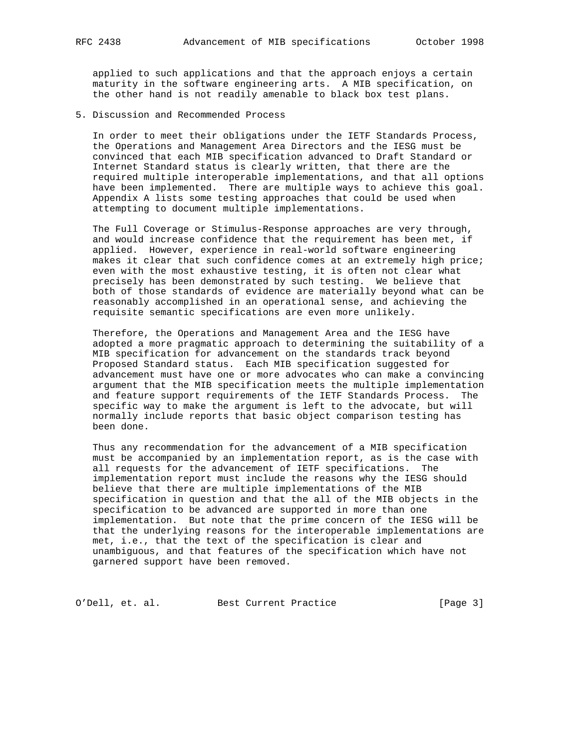applied to such applications and that the approach enjoys a certain maturity in the software engineering arts. A MIB specification, on the other hand is not readily amenable to black box test plans.

5. Discussion and Recommended Process

 In order to meet their obligations under the IETF Standards Process, the Operations and Management Area Directors and the IESG must be convinced that each MIB specification advanced to Draft Standard or Internet Standard status is clearly written, that there are the required multiple interoperable implementations, and that all options have been implemented. There are multiple ways to achieve this goal. Appendix A lists some testing approaches that could be used when attempting to document multiple implementations.

 The Full Coverage or Stimulus-Response approaches are very through, and would increase confidence that the requirement has been met, if applied. However, experience in real-world software engineering makes it clear that such confidence comes at an extremely high price; even with the most exhaustive testing, it is often not clear what precisely has been demonstrated by such testing. We believe that both of those standards of evidence are materially beyond what can be reasonably accomplished in an operational sense, and achieving the requisite semantic specifications are even more unlikely.

 Therefore, the Operations and Management Area and the IESG have adopted a more pragmatic approach to determining the suitability of a MIB specification for advancement on the standards track beyond Proposed Standard status. Each MIB specification suggested for advancement must have one or more advocates who can make a convincing argument that the MIB specification meets the multiple implementation and feature support requirements of the IETF Standards Process. The specific way to make the argument is left to the advocate, but will normally include reports that basic object comparison testing has been done.

 Thus any recommendation for the advancement of a MIB specification must be accompanied by an implementation report, as is the case with all requests for the advancement of IETF specifications. The implementation report must include the reasons why the IESG should believe that there are multiple implementations of the MIB specification in question and that the all of the MIB objects in the specification to be advanced are supported in more than one implementation. But note that the prime concern of the IESG will be that the underlying reasons for the interoperable implementations are met, i.e., that the text of the specification is clear and unambiguous, and that features of the specification which have not garnered support have been removed.

O'Dell, et. al. Best Current Practice [Page 3]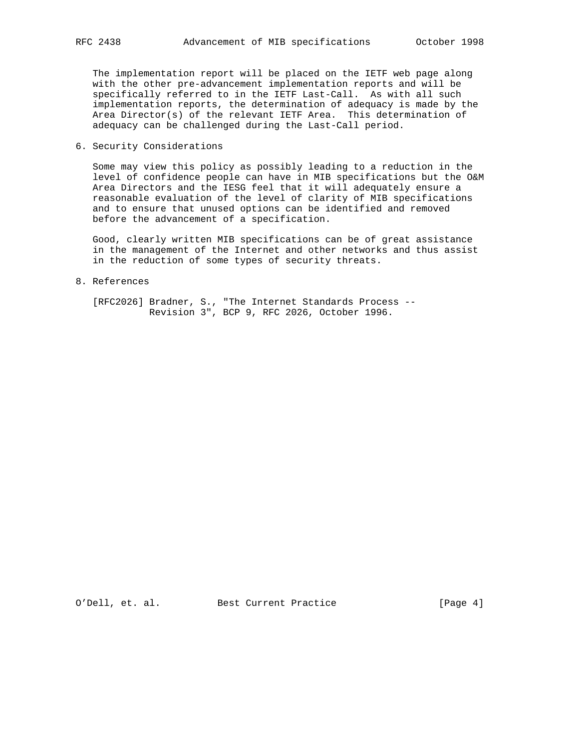The implementation report will be placed on the IETF web page along with the other pre-advancement implementation reports and will be specifically referred to in the IETF Last-Call. As with all such implementation reports, the determination of adequacy is made by the Area Director(s) of the relevant IETF Area. This determination of adequacy can be challenged during the Last-Call period.

6. Security Considerations

 Some may view this policy as possibly leading to a reduction in the level of confidence people can have in MIB specifications but the O&M Area Directors and the IESG feel that it will adequately ensure a reasonable evaluation of the level of clarity of MIB specifications and to ensure that unused options can be identified and removed before the advancement of a specification.

 Good, clearly written MIB specifications can be of great assistance in the management of the Internet and other networks and thus assist in the reduction of some types of security threats.

8. References

 [RFC2026] Bradner, S., "The Internet Standards Process -- Revision 3", BCP 9, RFC 2026, October 1996.

O'Dell, et. al. Best Current Practice [Page 4]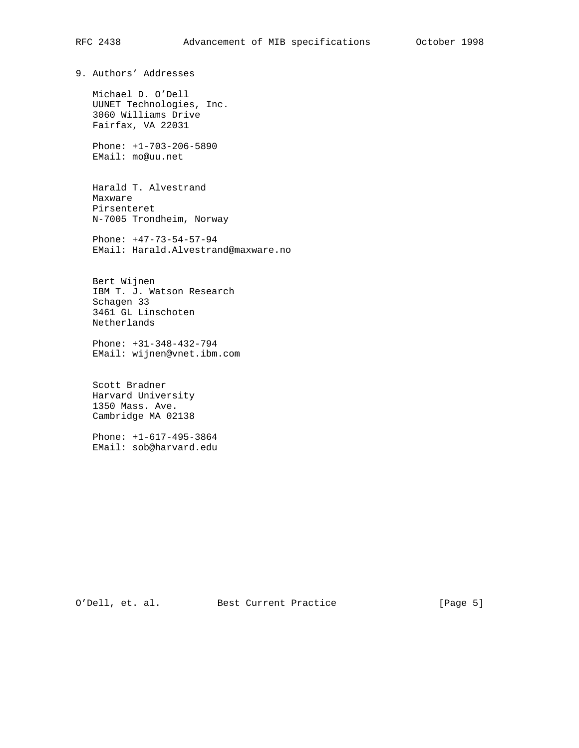9. Authors' Addresses

 Michael D. O'Dell UUNET Technologies, Inc. 3060 Williams Drive Fairfax, VA 22031

 Phone: +1-703-206-5890 EMail: mo@uu.net

 Harald T. Alvestrand Maxware Pirsenteret N-7005 Trondheim, Norway

 Phone: +47-73-54-57-94 EMail: Harald.Alvestrand@maxware.no

 Bert Wijnen IBM T. J. Watson Research Schagen 33 3461 GL Linschoten Netherlands

 Phone: +31-348-432-794 EMail: wijnen@vnet.ibm.com

 Scott Bradner Harvard University 1350 Mass. Ave. Cambridge MA 02138

 Phone: +1-617-495-3864 EMail: sob@harvard.edu

O'Dell, et. al. Best Current Practice [Page 5]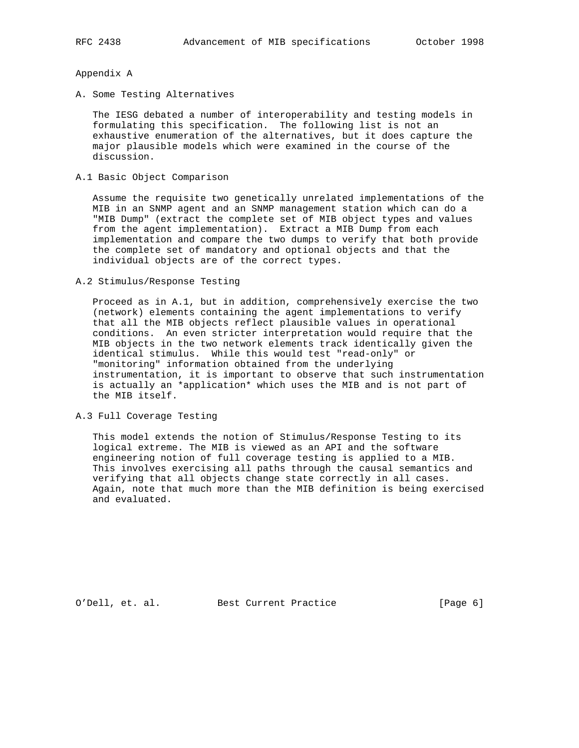## Appendix A

A. Some Testing Alternatives

 The IESG debated a number of interoperability and testing models in formulating this specification. The following list is not an exhaustive enumeration of the alternatives, but it does capture the major plausible models which were examined in the course of the discussion.

A.1 Basic Object Comparison

 Assume the requisite two genetically unrelated implementations of the MIB in an SNMP agent and an SNMP management station which can do a "MIB Dump" (extract the complete set of MIB object types and values from the agent implementation). Extract a MIB Dump from each implementation and compare the two dumps to verify that both provide the complete set of mandatory and optional objects and that the individual objects are of the correct types.

A.2 Stimulus/Response Testing

 Proceed as in A.1, but in addition, comprehensively exercise the two (network) elements containing the agent implementations to verify that all the MIB objects reflect plausible values in operational conditions. An even stricter interpretation would require that the MIB objects in the two network elements track identically given the identical stimulus. While this would test "read-only" or "monitoring" information obtained from the underlying instrumentation, it is important to observe that such instrumentation is actually an \*application\* which uses the MIB and is not part of the MIB itself.

A.3 Full Coverage Testing

 This model extends the notion of Stimulus/Response Testing to its logical extreme. The MIB is viewed as an API and the software engineering notion of full coverage testing is applied to a MIB. This involves exercising all paths through the causal semantics and verifying that all objects change state correctly in all cases. Again, note that much more than the MIB definition is being exercised and evaluated.

O'Dell, et. al. Best Current Practice [Page 6]